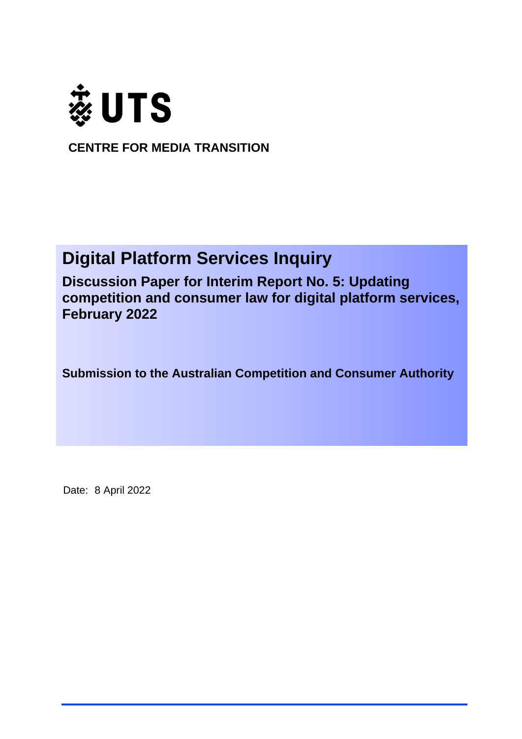

**CENTRE FOR MEDIA TRANSITION**

# **Digital Platform Services Inquiry**

**Discussion Paper for Interim Report No. 5: Updating competition and consumer law for digital platform services, February 2022**

**Submission to the Australian Competition and Consumer Authority**

Date: 8 April 2022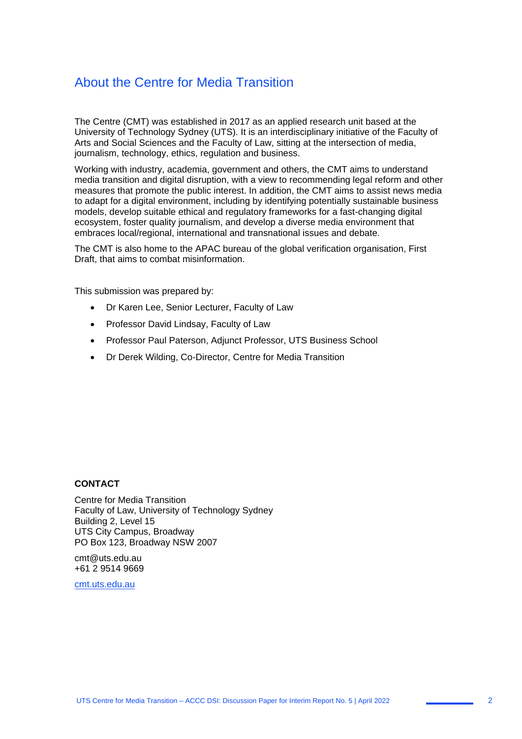### About the Centre for Media Transition

The Centre (CMT) was established in 2017 as an applied research unit based at the University of Technology Sydney (UTS). It is an interdisciplinary initiative of the Faculty of Arts and Social Sciences and the Faculty of Law, sitting at the intersection of media, journalism, technology, ethics, regulation and business.

Working with industry, academia, government and others, the CMT aims to understand media transition and digital disruption, with a view to recommending legal reform and other measures that promote the public interest. In addition, the CMT aims to assist news media to adapt for a digital environment, including by identifying potentially sustainable business models, develop suitable ethical and regulatory frameworks for a fast-changing digital ecosystem, foster quality journalism, and develop a diverse media environment that embraces local/regional, international and transnational issues and debate.

The CMT is also home to the APAC bureau of the global verification organisation, First Draft, that aims to combat misinformation.

This submission was prepared by:

- Dr Karen Lee, Senior Lecturer, Faculty of Law
- Professor David Lindsay, Faculty of Law
- Professor Paul Paterson, Adjunct Professor, UTS Business School
- Dr Derek Wilding, Co-Director, Centre for Media Transition

#### **CONTACT**

Centre for Media Transition Faculty of Law, University of Technology Sydney Building 2, Level 15 UTS City Campus, Broadway PO Box 123, Broadway NSW 2007

cmt@uts.edu.au +61 2 9514 9669

cmt.uts.edu.au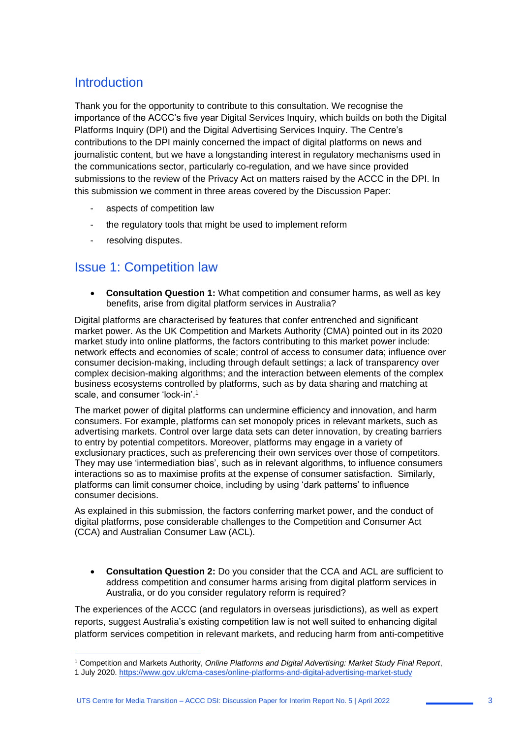### **Introduction**

Thank you for the opportunity to contribute to this consultation. We recognise the importance of the ACCC's five year Digital Services Inquiry, which builds on both the Digital Platforms Inquiry (DPI) and the Digital Advertising Services Inquiry. The Centre's contributions to the DPI mainly concerned the impact of digital platforms on news and journalistic content, but we have a longstanding interest in regulatory mechanisms used in the communications sector, particularly co-regulation, and we have since provided submissions to the review of the Privacy Act on matters raised by the ACCC in the DPI. In this submission we comment in three areas covered by the Discussion Paper:

- aspects of competition law
- the regulatory tools that might be used to implement reform
- resolving disputes.

 $\overline{a}$ 

### Issue 1: Competition law

• **Consultation Question 1:** What competition and consumer harms, as well as key benefits, arise from digital platform services in Australia?

Digital platforms are characterised by features that confer entrenched and significant market power. As the UK Competition and Markets Authority (CMA) pointed out in its 2020 market study into online platforms, the factors contributing to this market power include: network effects and economies of scale; control of access to consumer data; influence over consumer decision-making, including through default settings; a lack of transparency over complex decision-making algorithms; and the interaction between elements of the complex business ecosystems controlled by platforms, such as by data sharing and matching at scale, and consumer 'lock-in'.<sup>1</sup>

The market power of digital platforms can undermine efficiency and innovation, and harm consumers. For example, platforms can set monopoly prices in relevant markets, such as advertising markets. Control over large data sets can deter innovation, by creating barriers to entry by potential competitors. Moreover, platforms may engage in a variety of exclusionary practices, such as preferencing their own services over those of competitors. They may use 'intermediation bias', such as in relevant algorithms, to influence consumers interactions so as to maximise profits at the expense of consumer satisfaction. Similarly, platforms can limit consumer choice, including by using 'dark patterns' to influence consumer decisions.

As explained in this submission, the factors conferring market power, and the conduct of digital platforms, pose considerable challenges to the Competition and Consumer Act (CCA) and Australian Consumer Law (ACL).

• **Consultation Question 2:** Do you consider that the CCA and ACL are sufficient to address competition and consumer harms arising from digital platform services in Australia, or do you consider regulatory reform is required?

The experiences of the ACCC (and regulators in overseas jurisdictions), as well as expert reports, suggest Australia's existing competition law is not well suited to enhancing digital platform services competition in relevant markets, and reducing harm from anti-competitive

<sup>1</sup> Competition and Markets Authority, *Online Platforms and Digital Advertising: Market Study Final Report*,

<sup>1</sup> July 2020. https://www.gov.uk/cma-cases/online-platforms-and-digital-advertising-market-study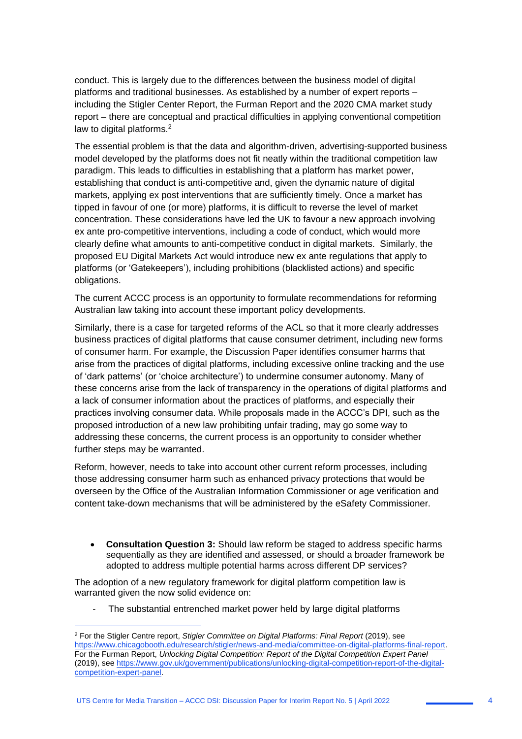conduct. This is largely due to the differences between the business model of digital platforms and traditional businesses. As established by a number of expert reports – including the Stigler Center Report, the Furman Report and the 2020 CMA market study report – there are conceptual and practical difficulties in applying conventional competition law to digital platforms.<sup>2</sup>

The essential problem is that the data and algorithm-driven, advertising-supported business model developed by the platforms does not fit neatly within the traditional competition law paradigm. This leads to difficulties in establishing that a platform has market power, establishing that conduct is anti-competitive and, given the dynamic nature of digital markets, applying ex post interventions that are sufficiently timely. Once a market has tipped in favour of one (or more) platforms, it is difficult to reverse the level of market concentration. These considerations have led the UK to favour a new approach involving ex ante pro-competitive interventions, including a code of conduct, which would more clearly define what amounts to anti-competitive conduct in digital markets. Similarly, the proposed EU Digital Markets Act would introduce new ex ante regulations that apply to platforms (or 'Gatekeepers'), including prohibitions (blacklisted actions) and specific obligations.

The current ACCC process is an opportunity to formulate recommendations for reforming Australian law taking into account these important policy developments.

Similarly, there is a case for targeted reforms of the ACL so that it more clearly addresses business practices of digital platforms that cause consumer detriment, including new forms of consumer harm. For example, the Discussion Paper identifies consumer harms that arise from the practices of digital platforms, including excessive online tracking and the use of 'dark patterns' (or 'choice architecture') to undermine consumer autonomy. Many of these concerns arise from the lack of transparency in the operations of digital platforms and a lack of consumer information about the practices of platforms, and especially their practices involving consumer data. While proposals made in the ACCC's DPI, such as the proposed introduction of a new law prohibiting unfair trading, may go some way to addressing these concerns, the current process is an opportunity to consider whether further steps may be warranted.

Reform, however, needs to take into account other current reform processes, including those addressing consumer harm such as enhanced privacy protections that would be overseen by the Office of the Australian Information Commissioner or age verification and content take-down mechanisms that will be administered by the eSafety Commissioner.

• **Consultation Question 3:** Should law reform be staged to address specific harms sequentially as they are identified and assessed, or should a broader framework be adopted to address multiple potential harms across different DP services?

The adoption of a new regulatory framework for digital platform competition law is warranted given the now solid evidence on:

1

The substantial entrenched market power held by large digital platforms

<sup>2</sup> For the Stigler Centre report, *Stigler Committee on Digital Platforms: Final Report* (2019), see https://www.chicagobooth.edu/research/stigler/news-and-media/committee-on-digital-platforms-final-report. For the Furman Report, *Unlocking Digital Competition: Report of the Digital Competition Expert Panel* (2019), see https://www.gov.uk/government/publications/unlocking-digital-competition-report-of-the-digitalcompetition-expert-panel.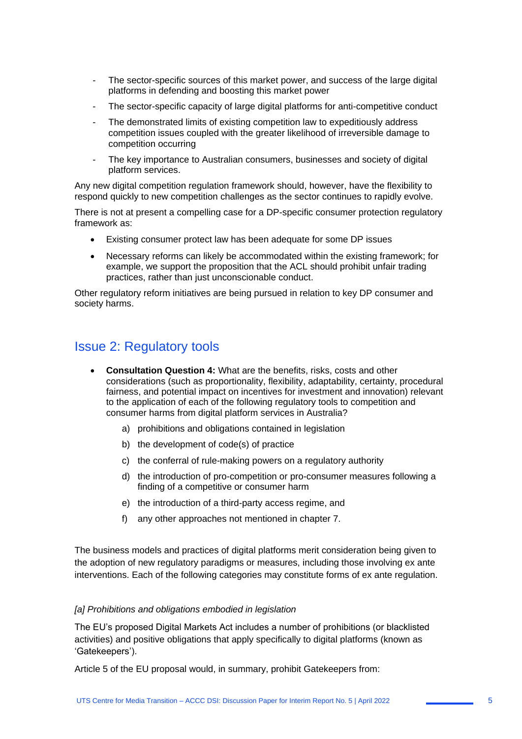- The sector-specific sources of this market power, and success of the large digital platforms in defending and boosting this market power
- The sector-specific capacity of large digital platforms for anti-competitive conduct
- The demonstrated limits of existing competition law to expeditiously address competition issues coupled with the greater likelihood of irreversible damage to competition occurring
- The key importance to Australian consumers, businesses and society of digital platform services.

Any new digital competition regulation framework should, however, have the flexibility to respond quickly to new competition challenges as the sector continues to rapidly evolve.

There is not at present a compelling case for a DP-specific consumer protection regulatory framework as:

- Existing consumer protect law has been adequate for some DP issues
- Necessary reforms can likely be accommodated within the existing framework; for example, we support the proposition that the ACL should prohibit unfair trading practices, rather than just unconscionable conduct.

Other regulatory reform initiatives are being pursued in relation to key DP consumer and society harms.

## Issue 2: Regulatory tools

- **Consultation Question 4:** What are the benefits, risks, costs and other considerations (such as proportionality, flexibility, adaptability, certainty, procedural fairness, and potential impact on incentives for investment and innovation) relevant to the application of each of the following regulatory tools to competition and consumer harms from digital platform services in Australia?
	- a) prohibitions and obligations contained in legislation
	- b) the development of code(s) of practice
	- c) the conferral of rule-making powers on a regulatory authority
	- d) the introduction of pro-competition or pro-consumer measures following a finding of a competitive or consumer harm
	- e) the introduction of a third-party access regime, and
	- f) any other approaches not mentioned in chapter 7.

The business models and practices of digital platforms merit consideration being given to the adoption of new regulatory paradigms or measures, including those involving ex ante interventions. Each of the following categories may constitute forms of ex ante regulation.

#### *[a] Prohibitions and obligations embodied in legislation*

The EU's proposed Digital Markets Act includes a number of prohibitions (or blacklisted activities) and positive obligations that apply specifically to digital platforms (known as 'Gatekeepers').

Article 5 of the EU proposal would, in summary, prohibit Gatekeepers from: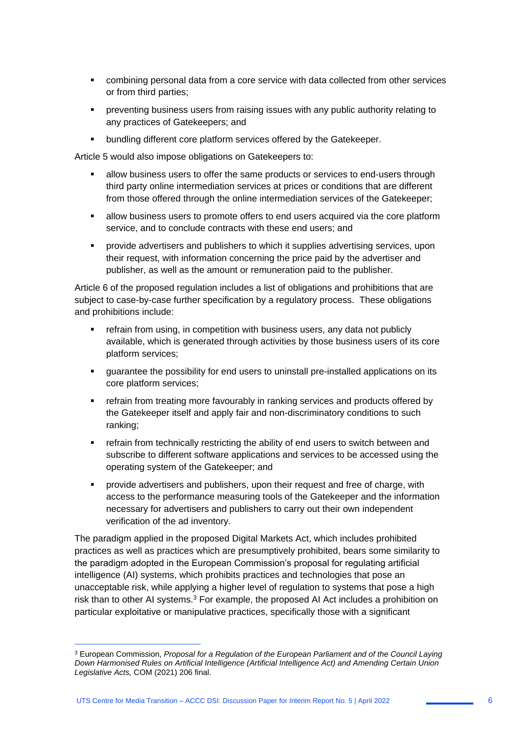- combining personal data from a core service with data collected from other services or from third parties;
- preventing business users from raising issues with any public authority relating to any practices of Gatekeepers; and
- bundling different core platform services offered by the Gatekeeper.

Article 5 would also impose obligations on Gatekeepers to:

- allow business users to offer the same products or services to end-users through third party online intermediation services at prices or conditions that are different from those offered through the online intermediation services of the Gatekeeper;
- **EXEDENT Allow business users to promote offers to end users acquired via the core platform** service, and to conclude contracts with these end users; and
- provide advertisers and publishers to which it supplies advertising services, upon their request, with information concerning the price paid by the advertiser and publisher, as well as the amount or remuneration paid to the publisher.

Article 6 of the proposed regulation includes a list of obligations and prohibitions that are subject to case-by-case further specification by a regulatory process. These obligations and prohibitions include:

- refrain from using, in competition with business users, any data not publicly available, which is generated through activities by those business users of its core platform services;
- guarantee the possibility for end users to uninstall pre-installed applications on its core platform services;
- **•** refrain from treating more favourably in ranking services and products offered by the Gatekeeper itself and apply fair and non-discriminatory conditions to such ranking;
- **•** refrain from technically restricting the ability of end users to switch between and subscribe to different software applications and services to be accessed using the operating system of the Gatekeeper; and
- provide advertisers and publishers, upon their request and free of charge, with access to the performance measuring tools of the Gatekeeper and the information necessary for advertisers and publishers to carry out their own independent verification of the ad inventory.

The paradigm applied in the proposed Digital Markets Act, which includes prohibited practices as well as practices which are presumptively prohibited, bears some similarity to the paradigm adopted in the European Commission's proposal for regulating artificial intelligence (AI) systems, which prohibits practices and technologies that pose an unacceptable risk, while applying a higher level of regulation to systems that pose a high risk than to other AI systems.<sup>3</sup> For example, the proposed AI Act includes a prohibition on particular exploitative or manipulative practices, specifically those with a significant

1

<sup>3</sup> European Commission, *Proposal for a Regulation of the European Parliament and of the Council Laying Down Harmonised Rules on Artificial Intelligence (Artificial Intelligence Act) and Amending Certain Union Legislative Acts,* COM (2021) 206 final.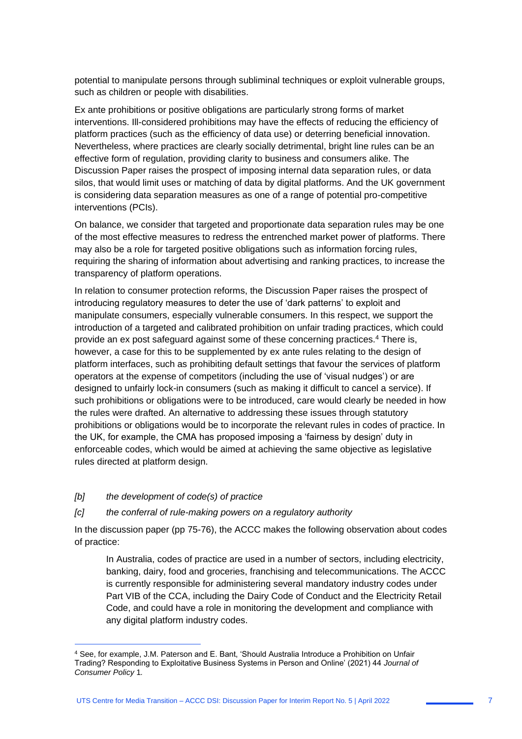potential to manipulate persons through subliminal techniques or exploit vulnerable groups, such as children or people with disabilities.

Ex ante prohibitions or positive obligations are particularly strong forms of market interventions. Ill-considered prohibitions may have the effects of reducing the efficiency of platform practices (such as the efficiency of data use) or deterring beneficial innovation. Nevertheless, where practices are clearly socially detrimental, bright line rules can be an effective form of regulation, providing clarity to business and consumers alike. The Discussion Paper raises the prospect of imposing internal data separation rules, or data silos, that would limit uses or matching of data by digital platforms. And the UK government is considering data separation measures as one of a range of potential pro-competitive interventions (PCIs).

On balance, we consider that targeted and proportionate data separation rules may be one of the most effective measures to redress the entrenched market power of platforms. There may also be a role for targeted positive obligations such as information forcing rules, requiring the sharing of information about advertising and ranking practices, to increase the transparency of platform operations.

In relation to consumer protection reforms, the Discussion Paper raises the prospect of introducing regulatory measures to deter the use of 'dark patterns' to exploit and manipulate consumers, especially vulnerable consumers. In this respect, we support the introduction of a targeted and calibrated prohibition on unfair trading practices, which could provide an ex post safeguard against some of these concerning practices.<sup>4</sup> There is, however, a case for this to be supplemented by ex ante rules relating to the design of platform interfaces, such as prohibiting default settings that favour the services of platform operators at the expense of competitors (including the use of 'visual nudges') or are designed to unfairly lock-in consumers (such as making it difficult to cancel a service). If such prohibitions or obligations were to be introduced, care would clearly be needed in how the rules were drafted. An alternative to addressing these issues through statutory prohibitions or obligations would be to incorporate the relevant rules in codes of practice. In the UK, for example, the CMA has proposed imposing a 'fairness by design' duty in enforceable codes, which would be aimed at achieving the same objective as legislative rules directed at platform design.

*[b] the development of code(s) of practice* 

1

#### *[c] the conferral of rule-making powers on a regulatory authority*

In the discussion paper (pp 75-76), the ACCC makes the following observation about codes of practice:

In Australia, codes of practice are used in a number of sectors, including electricity, banking, dairy, food and groceries, franchising and telecommunications. The ACCC is currently responsible for administering several mandatory industry codes under Part VIB of the CCA, including the Dairy Code of Conduct and the Electricity Retail Code, and could have a role in monitoring the development and compliance with any digital platform industry codes.

<sup>4</sup> See, for example, J.M. Paterson and E. Bant, 'Should Australia Introduce a Prohibition on Unfair Trading? Responding to Exploitative Business Systems in Person and Online' (2021) 44 *Journal of Consumer Policy* 1*.*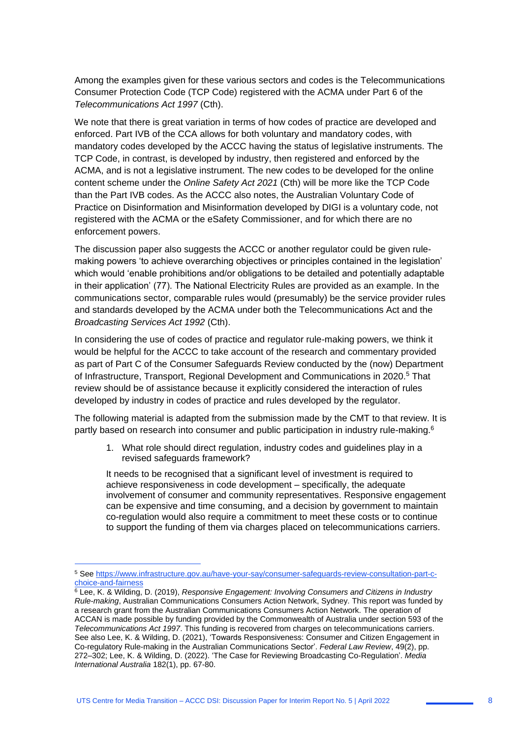Among the examples given for these various sectors and codes is the Telecommunications Consumer Protection Code (TCP Code) registered with the ACMA under Part 6 of the *Telecommunications Act 1997* (Cth).

We note that there is great variation in terms of how codes of practice are developed and enforced. Part IVB of the CCA allows for both voluntary and mandatory codes, with mandatory codes developed by the ACCC having the status of legislative instruments. The TCP Code, in contrast, is developed by industry, then registered and enforced by the ACMA, and is not a legislative instrument. The new codes to be developed for the online content scheme under the *Online Safety Act 2021* (Cth) will be more like the TCP Code than the Part IVB codes. As the ACCC also notes, the Australian Voluntary Code of Practice on Disinformation and Misinformation developed by DIGI is a voluntary code, not registered with the ACMA or the eSafety Commissioner, and for which there are no enforcement powers.

The discussion paper also suggests the ACCC or another regulator could be given rulemaking powers 'to achieve overarching objectives or principles contained in the legislation' which would 'enable prohibitions and/or obligations to be detailed and potentially adaptable in their application' (77). The National Electricity Rules are provided as an example. In the communications sector, comparable rules would (presumably) be the service provider rules and standards developed by the ACMA under both the Telecommunications Act and the *Broadcasting Services Act 1992* (Cth).

In considering the use of codes of practice and regulator rule-making powers, we think it would be helpful for the ACCC to take account of the research and commentary provided as part of Part C of the Consumer Safeguards Review conducted by the (now) Department of Infrastructure, Transport, Regional Development and Communications in 2020.<sup>5</sup> That review should be of assistance because it explicitly considered the interaction of rules developed by industry in codes of practice and rules developed by the regulator.

The following material is adapted from the submission made by the CMT to that review. It is partly based on research into consumer and public participation in industry rule-making.<sup>6</sup>

1. What role should direct regulation, industry codes and guidelines play in a revised safeguards framework?

It needs to be recognised that a significant level of investment is required to achieve responsiveness in code development – specifically, the adequate involvement of consumer and community representatives. Responsive engagement can be expensive and time consuming, and a decision by government to maintain co-regulation would also require a commitment to meet these costs or to continue to support the funding of them via charges placed on telecommunications carriers.

1

<sup>5</sup> See https://www.infrastructure.gov.au/have-your-say/consumer-safeguards-review-consultation-part-cchoice-and-fairness

<sup>6</sup> Lee, K. & Wilding, D. (2019), *Responsive Engagement: Involving Consumers and Citizens in Industry Rule-making*, Australian Communications Consumers Action Network, Sydney. This report was funded by a research grant from the Australian Communications Consumers Action Network. The operation of ACCAN is made possible by funding provided by the Commonwealth of Australia under section 593 of the *Telecommunications Act 1997*. This funding is recovered from charges on telecommunications carriers. See also Lee, K. & Wilding, D. (2021), 'Towards Responsiveness: Consumer and Citizen Engagement in Co-regulatory Rule-making in the Australian Communications Sector'. *Federal Law Review*, 49(2), pp. 272–302; Lee, K. & Wilding, D. (2022). 'The Case for Reviewing Broadcasting Co-Regulation'. *Media International Australia* 182(1), pp. 67-80.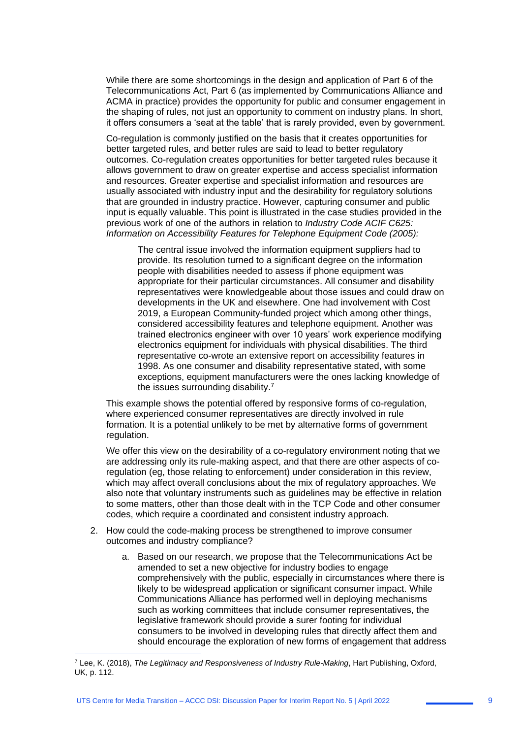While there are some shortcomings in the design and application of Part 6 of the Telecommunications Act, Part 6 (as implemented by Communications Alliance and ACMA in practice) provides the opportunity for public and consumer engagement in the shaping of rules, not just an opportunity to comment on industry plans. In short, it offers consumers a 'seat at the table' that is rarely provided, even by government.

Co-regulation is commonly justified on the basis that it creates opportunities for better targeted rules, and better rules are said to lead to better regulatory outcomes. Co-regulation creates opportunities for better targeted rules because it allows government to draw on greater expertise and access specialist information and resources. Greater expertise and specialist information and resources are usually associated with industry input and the desirability for regulatory solutions that are grounded in industry practice. However, capturing consumer and public input is equally valuable. This point is illustrated in the case studies provided in the previous work of one of the authors in relation to *Industry Code ACIF C625: Information on Accessibility Features for Telephone Equipment Code (2005):*

The central issue involved the information equipment suppliers had to provide. Its resolution turned to a significant degree on the information people with disabilities needed to assess if phone equipment was appropriate for their particular circumstances. All consumer and disability representatives were knowledgeable about those issues and could draw on developments in the UK and elsewhere. One had involvement with Cost 2019, a European Community-funded project which among other things, considered accessibility features and telephone equipment. Another was trained electronics engineer with over 10 years' work experience modifying electronics equipment for individuals with physical disabilities. The third representative co-wrote an extensive report on accessibility features in 1998. As one consumer and disability representative stated, with some exceptions, equipment manufacturers were the ones lacking knowledge of the issues surrounding disability.<sup>7</sup>

This example shows the potential offered by responsive forms of co-regulation, where experienced consumer representatives are directly involved in rule formation. It is a potential unlikely to be met by alternative forms of government regulation.

We offer this view on the desirability of a co-regulatory environment noting that we are addressing only its rule-making aspect, and that there are other aspects of coregulation (eg, those relating to enforcement) under consideration in this review, which may affect overall conclusions about the mix of regulatory approaches. We also note that voluntary instruments such as guidelines may be effective in relation to some matters, other than those dealt with in the TCP Code and other consumer codes, which require a coordinated and consistent industry approach.

- 2. How could the code-making process be strengthened to improve consumer outcomes and industry compliance?
	- a. Based on our research, we propose that the Telecommunications Act be amended to set a new objective for industry bodies to engage comprehensively with the public, especially in circumstances where there is likely to be widespread application or significant consumer impact. While Communications Alliance has performed well in deploying mechanisms such as working committees that include consumer representatives, the legislative framework should provide a surer footing for individual consumers to be involved in developing rules that directly affect them and should encourage the exploration of new forms of engagement that address

 $\overline{a}$ 

<sup>7</sup> Lee, K. (2018), *The Legitimacy and Responsiveness of Industry Rule-Making*, Hart Publishing, Oxford, UK, p. 112.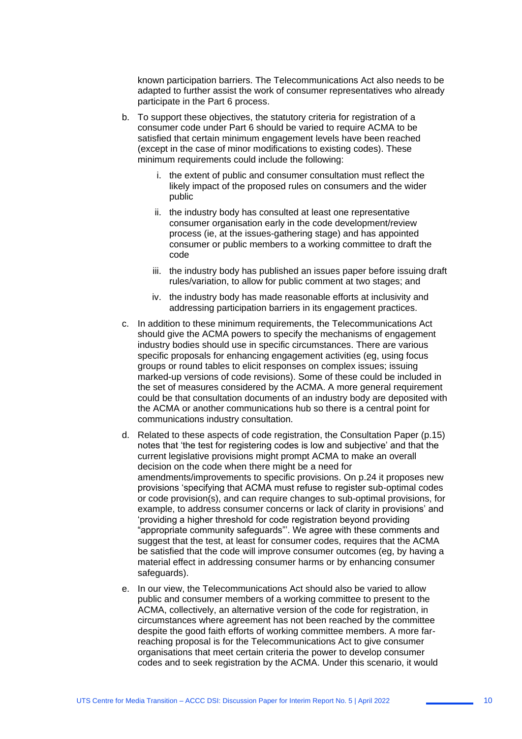known participation barriers. The Telecommunications Act also needs to be adapted to further assist the work of consumer representatives who already participate in the Part 6 process.

- b. To support these objectives, the statutory criteria for registration of a consumer code under Part 6 should be varied to require ACMA to be satisfied that certain minimum engagement levels have been reached (except in the case of minor modifications to existing codes). These minimum requirements could include the following:
	- i. the extent of public and consumer consultation must reflect the likely impact of the proposed rules on consumers and the wider public
	- ii. the industry body has consulted at least one representative consumer organisation early in the code development/review process (ie, at the issues-gathering stage) and has appointed consumer or public members to a working committee to draft the code
	- iii. the industry body has published an issues paper before issuing draft rules/variation, to allow for public comment at two stages; and
	- iv. the industry body has made reasonable efforts at inclusivity and addressing participation barriers in its engagement practices.
- c. In addition to these minimum requirements, the Telecommunications Act should give the ACMA powers to specify the mechanisms of engagement industry bodies should use in specific circumstances. There are various specific proposals for enhancing engagement activities (eg, using focus groups or round tables to elicit responses on complex issues; issuing marked-up versions of code revisions). Some of these could be included in the set of measures considered by the ACMA. A more general requirement could be that consultation documents of an industry body are deposited with the ACMA or another communications hub so there is a central point for communications industry consultation.
- d. Related to these aspects of code registration, the Consultation Paper (p.15) notes that 'the test for registering codes is low and subjective' and that the current legislative provisions might prompt ACMA to make an overall decision on the code when there might be a need for amendments/improvements to specific provisions. On p.24 it proposes new provisions 'specifying that ACMA must refuse to register sub-optimal codes or code provision(s), and can require changes to sub-optimal provisions, for example, to address consumer concerns or lack of clarity in provisions' and 'providing a higher threshold for code registration beyond providing "appropriate community safeguards"'. We agree with these comments and suggest that the test, at least for consumer codes, requires that the ACMA be satisfied that the code will improve consumer outcomes (eg, by having a material effect in addressing consumer harms or by enhancing consumer safeguards).
- e. In our view, the Telecommunications Act should also be varied to allow public and consumer members of a working committee to present to the ACMA, collectively, an alternative version of the code for registration, in circumstances where agreement has not been reached by the committee despite the good faith efforts of working committee members. A more farreaching proposal is for the Telecommunications Act to give consumer organisations that meet certain criteria the power to develop consumer codes and to seek registration by the ACMA. Under this scenario, it would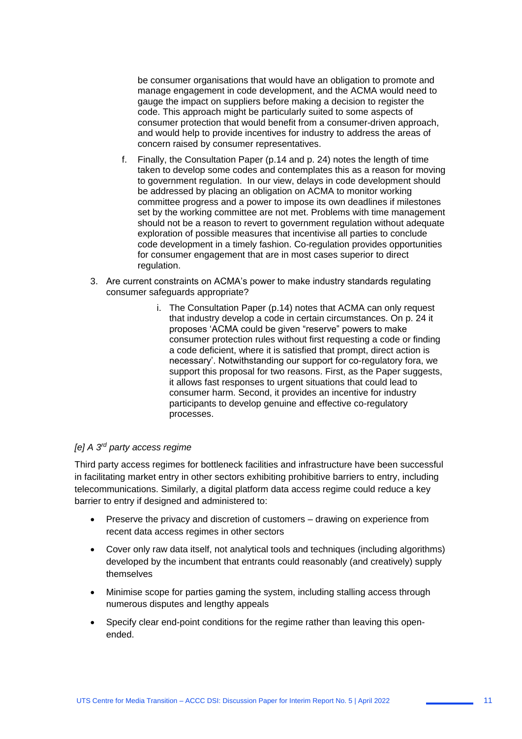be consumer organisations that would have an obligation to promote and manage engagement in code development, and the ACMA would need to gauge the impact on suppliers before making a decision to register the code. This approach might be particularly suited to some aspects of consumer protection that would benefit from a consumer-driven approach, and would help to provide incentives for industry to address the areas of concern raised by consumer representatives.

- f. Finally, the Consultation Paper (p.14 and p. 24) notes the length of time taken to develop some codes and contemplates this as a reason for moving to government regulation. In our view, delays in code development should be addressed by placing an obligation on ACMA to monitor working committee progress and a power to impose its own deadlines if milestones set by the working committee are not met. Problems with time management should not be a reason to revert to government regulation without adequate exploration of possible measures that incentivise all parties to conclude code development in a timely fashion. Co-regulation provides opportunities for consumer engagement that are in most cases superior to direct regulation.
- 3. Are current constraints on ACMA's power to make industry standards regulating consumer safeguards appropriate?
	- i. The Consultation Paper (p.14) notes that ACMA can only request that industry develop a code in certain circumstances. On p. 24 it proposes 'ACMA could be given "reserve" powers to make consumer protection rules without first requesting a code or finding a code deficient, where it is satisfied that prompt, direct action is necessary'. Notwithstanding our support for co-regulatory fora, we support this proposal for two reasons. First, as the Paper suggests, it allows fast responses to urgent situations that could lead to consumer harm. Second, it provides an incentive for industry participants to develop genuine and effective co-regulatory processes.

#### *[e] A 3rd party access regime*

Third party access regimes for bottleneck facilities and infrastructure have been successful in facilitating market entry in other sectors exhibiting prohibitive barriers to entry, including telecommunications. Similarly, a digital platform data access regime could reduce a key barrier to entry if designed and administered to:

- Preserve the privacy and discretion of customers drawing on experience from recent data access regimes in other sectors
- Cover only raw data itself, not analytical tools and techniques (including algorithms) developed by the incumbent that entrants could reasonably (and creatively) supply themselves
- Minimise scope for parties gaming the system, including stalling access through numerous disputes and lengthy appeals
- Specify clear end-point conditions for the regime rather than leaving this openended.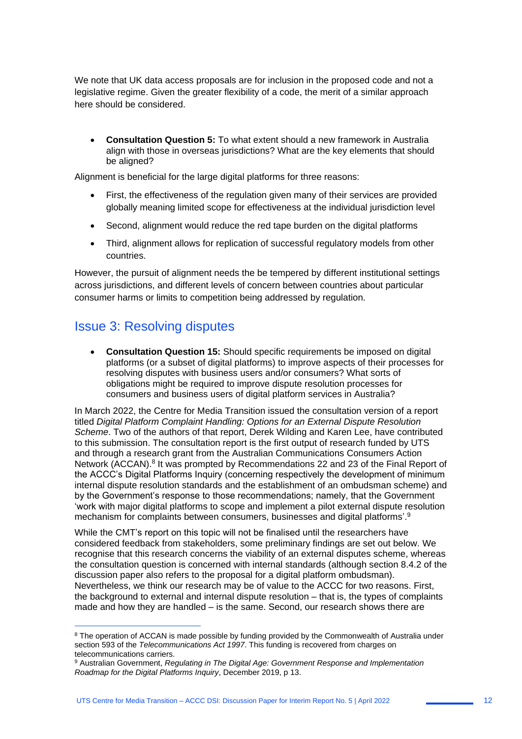We note that UK data access proposals are for inclusion in the proposed code and not a legislative regime. Given the greater flexibility of a code, the merit of a similar approach here should be considered.

• **Consultation Question 5:** To what extent should a new framework in Australia align with those in overseas jurisdictions? What are the key elements that should be aligned?

Alignment is beneficial for the large digital platforms for three reasons:

- First, the effectiveness of the regulation given many of their services are provided globally meaning limited scope for effectiveness at the individual jurisdiction level
- Second, alignment would reduce the red tape burden on the digital platforms
- Third, alignment allows for replication of successful regulatory models from other countries.

However, the pursuit of alignment needs the be tempered by different institutional settings across jurisdictions, and different levels of concern between countries about particular consumer harms or limits to competition being addressed by regulation.

### Issue 3: Resolving disputes

1

• **Consultation Question 15:** Should specific requirements be imposed on digital platforms (or a subset of digital platforms) to improve aspects of their processes for resolving disputes with business users and/or consumers? What sorts of obligations might be required to improve dispute resolution processes for consumers and business users of digital platform services in Australia?

In March 2022, the Centre for Media Transition issued the consultation version of a report titled *Digital Platform Complaint Handling: Options for an External Dispute Resolution Scheme*. Two of the authors of that report, Derek Wilding and Karen Lee, have contributed to this submission. The consultation report is the first output of research funded by UTS and through a research grant from the Australian Communications Consumers Action Network (ACCAN).<sup>8</sup> It was prompted by Recommendations 22 and 23 of the Final Report of the ACCC's Digital Platforms Inquiry (concerning respectively the development of minimum internal dispute resolution standards and the establishment of an ombudsman scheme) and by the Government's response to those recommendations; namely, that the Government 'work with major digital platforms to scope and implement a pilot external dispute resolution mechanism for complaints between consumers, businesses and digital platforms'.<sup>9</sup>

While the CMT's report on this topic will not be finalised until the researchers have considered feedback from stakeholders, some preliminary findings are set out below. We recognise that this research concerns the viability of an external disputes scheme, whereas the consultation question is concerned with internal standards (although section 8.4.2 of the discussion paper also refers to the proposal for a digital platform ombudsman). Nevertheless, we think our research may be of value to the ACCC for two reasons. First, the background to external and internal dispute resolution – that is, the types of complaints made and how they are handled – is the same. Second, our research shows there are

<sup>&</sup>lt;sup>8</sup> The operation of ACCAN is made possible by funding provided by the Commonwealth of Australia under section 593 of the *Telecommunications Act 1997*. This funding is recovered from charges on telecommunications carriers.

<sup>9</sup> Australian Government, *Regulating in The Digital Age: Government Response and Implementation Roadmap for the Digital Platforms Inquiry*, December 2019, p 13.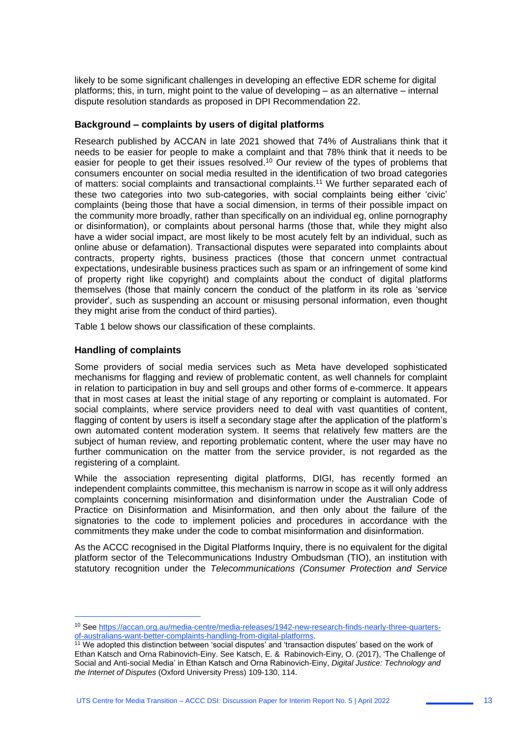likely to be some significant challenges in developing an effective EDR scheme for digital platforms; this, in turn, might point to the value of developing – as an alternative – internal dispute resolution standards as proposed in DPI Recommendation 22.

#### **Background – complaints by users of digital platforms**

Research published by ACCAN in late 2021 showed that 74% of Australians think that it needs to be easier for people to make a complaint and that 78% think that it needs to be easier for people to get their issues resolved.<sup>10</sup> Our review of the types of problems that consumers encounter on social media resulted in the identification of two broad categories of matters: social complaints and transactional complaints.<sup>11</sup> We further separated each of these two categories into two sub-categories, with social complaints being either 'civic' complaints (being those that have a social dimension, in terms of their possible impact on the community more broadly, rather than specifically on an individual eg, online pornography or disinformation), or complaints about personal harms (those that, while they might also have a wider social impact, are most likely to be most acutely felt by an individual, such as online abuse or defamation). Transactional disputes were separated into complaints about contracts, property rights, business practices (those that concern unmet contractual expectations, undesirable business practices such as spam or an infringement of some kind of property right like copyright) and complaints about the conduct of digital platforms themselves (those that mainly concern the conduct of the platform in its role as 'service provider', such as suspending an account or misusing personal information, even thought they might arise from the conduct of third parties).

Table 1 below shows our classification of these complaints.

#### **Handling of complaints**

1

Some providers of social media services such as Meta have developed sophisticated mechanisms for flagging and review of problematic content, as well channels for complaint in relation to participation in buy and sell groups and other forms of e-commerce. It appears that in most cases at least the initial stage of any reporting or complaint is automated. For social complaints, where service providers need to deal with vast quantities of content, flagging of content by users is itself a secondary stage after the application of the platform's own automated content moderation system. It seems that relatively few matters are the subject of human review, and reporting problematic content, where the user may have no further communication on the matter from the service provider, is not regarded as the registering of a complaint.

While the association representing digital platforms, DIGI, has recently formed an independent complaints committee, this mechanism is narrow in scope as it will only address complaints concerning misinformation and disinformation under the Australian Code of Practice on Disinformation and Misinformation, and then only about the failure of the signatories to the code to implement policies and procedures in accordance with the commitments they make under the code to combat misinformation and disinformation.

As the ACCC recognised in the Digital Platforms Inquiry, there is no equivalent for the digital platform sector of the Telecommunications Industry Ombudsman (TIO), an institution with statutory recognition under the *Telecommunications (Consumer Protection and Service* 

<sup>10</sup> See https://accan.org.au/media-centre/media-releases/1942-new-research-finds-nearly-three-quartersof-australians-want-better-complaints-handling-from-digital-platforms.

<sup>&</sup>lt;sup>11</sup> We adopted this distinction between 'social disputes' and 'transaction disputes' based on the work of Ethan Katsch and Orna Rabinovich-Einy. See Katsch, E. & Rabinovich-Einy, O. (2017), 'The Challenge of Social and Anti-social Media' in Ethan Katsch and Orna Rabinovich-Einy, *Digital Justice: Technology and the Internet of Disputes* (Oxford University Press) 109-130, 114.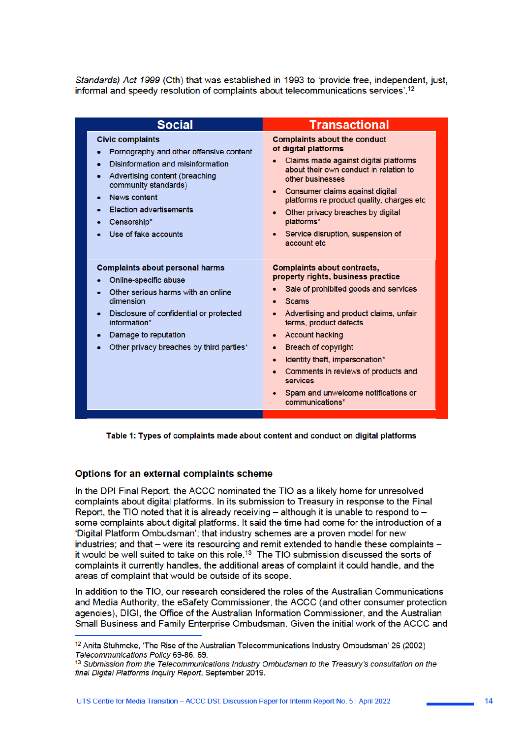Standards) Act 1999 (Cth) that was established in 1993 to 'provide free, independent, just, informal and speedy resolution of complaints about telecommunications services'.<sup>12</sup>

| <b>Social</b>                                                                                                                                                                                                                                              | <b>Transactional</b>                                                                                                                                                                                                                                                                                                                                                                                                                       |
|------------------------------------------------------------------------------------------------------------------------------------------------------------------------------------------------------------------------------------------------------------|--------------------------------------------------------------------------------------------------------------------------------------------------------------------------------------------------------------------------------------------------------------------------------------------------------------------------------------------------------------------------------------------------------------------------------------------|
| <b>Civic complaints</b><br>Pornography and other offensive content<br>Disinformation and misinformation<br>Advertising content (breaching<br>community standards)<br>News content<br><b>Election advertisements</b><br>Censorship*<br>Use of fake accounts | <b>Complaints about the conduct</b><br>of digital platforms<br>Claims made against digital platforms<br>about their own conduct in relation to<br>other businesses<br>Consumer claims against digital<br>$\bullet$<br>platforms re product quality, charges etc<br>Other privacy breaches by digital<br>platforms*<br>Service disruption, suspension of<br>account etc.                                                                    |
| <b>Complaints about personal harms</b><br>Online-specific abuse<br>Other serious harms with an online<br>dimension<br>Disclosure of confidential or protected<br>information*<br>Damage to reputation<br>Other privacy breaches by third parties*          | <b>Complaints about contracts,</b><br>property rights, business practice<br>Sale of prohibited goods and services<br><b>Scams</b><br>Advertising and product claims, unfair<br>terms, product defects<br><b>Account hacking</b><br>۰<br><b>Breach of copyright</b><br>۰<br>Identity theft, impersonation*<br>$\bullet$<br>Comments in reviews of products and<br><b>services</b><br>Spam and unwelcome notifications or<br>communications* |

Table 1: Types of complaints made about content and conduct on digital platforms

### Options for an external complaints scheme

In the DPI Final Report, the ACCC nominated the TIO as a likely home for unresolved complaints about digital platforms. In its submission to Treasury in response to the Final Report, the TIO noted that it is already receiving - although it is unable to respond to some complaints about digital platforms. It said the time had come for the introduction of a 'Digital Platform Ombudsman'; that industry schemes are a proven model for new industries; and that – were its resourcing and remit extended to handle these complaints – it would be well suited to take on this role.<sup>13</sup> The TIO submission discussed the sorts of complaints it currently handles, the additional areas of complaint it could handle, and the areas of complaint that would be outside of its scope.

In addition to the TIO, our research considered the roles of the Australian Communications and Media Authority, the eSafety Commissioner, the ACCC (and other consumer protection agencies). DIGI, the Office of the Australian Information Commissioner, and the Australian Small Business and Family Enterprise Ombudsman, Given the initial work of the ACCC and

<sup>&</sup>lt;sup>12</sup> Anita Stuhmcke, 'The Rise of the Australian Telecommunications Industry Ombudsman' 26 (2002) Telecommunications Policy 69-86, 69.

<sup>13</sup> Submission from the Telecommunications Industry Ombudsman to the Treasury's consultation on the final Digital Platforms Inquiry Report, September 2019.